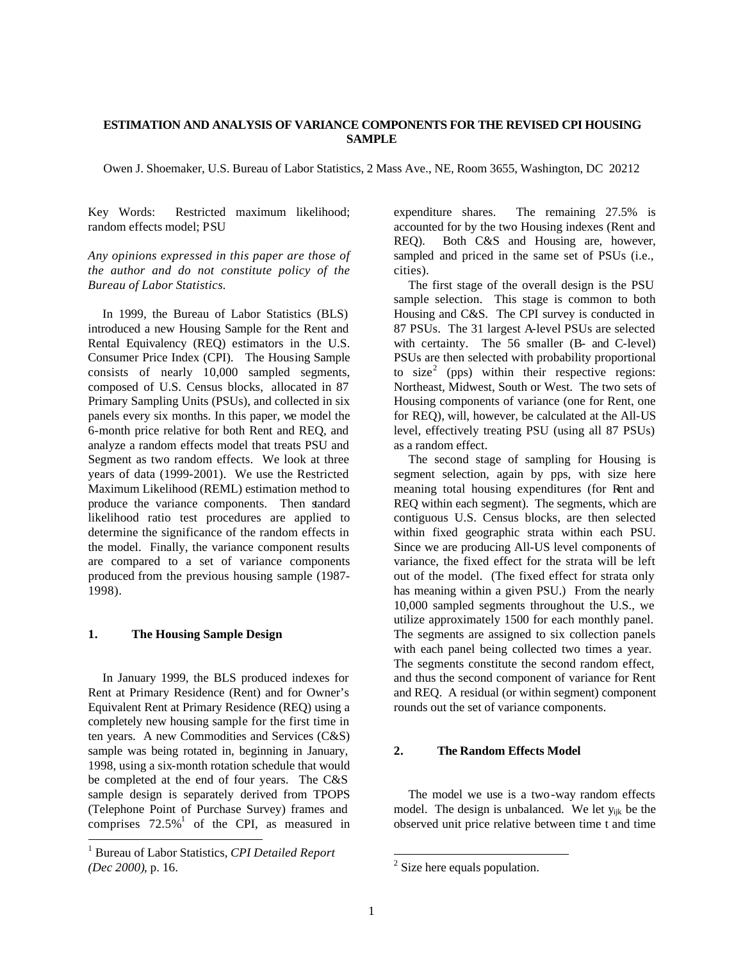## **ESTIMATION AND ANALYSIS OF VARIANCE COMPONENTS FOR THE REVISED CPI HOUSING SAMPLE**

Owen J. Shoemaker, U.S. Bureau of Labor Statistics, 2 Mass Ave., NE, Room 3655, Washington, DC 20212

Key Words: Restricted maximum likelihood; random effects model; PSU

*Any opinions expressed in this paper are those of the author and do not constitute policy of the Bureau of Labor Statistics.*

 In 1999, the Bureau of Labor Statistics (BLS) introduced a new Housing Sample for the Rent and Rental Equivalency (REQ) estimators in the U.S. Consumer Price Index (CPI). The Housing Sample consists of nearly 10,000 sampled segments, composed of U.S. Census blocks, allocated in 87 Primary Sampling Units (PSUs), and collected in six panels every six months. In this paper, we model the 6-month price relative for both Rent and REQ, and analyze a random effects model that treats PSU and Segment as two random effects. We look at three years of data (1999-2001). We use the Restricted Maximum Likelihood (REML) estimation method to produce the variance components. Then standard likelihood ratio test procedures are applied to determine the significance of the random effects in the model. Finally, the variance component results are compared to a set of variance components produced from the previous housing sample (1987- 1998).

# **1. The Housing Sample Design**

 In January 1999, the BLS produced indexes for Rent at Primary Residence (Rent) and for Owner's Equivalent Rent at Primary Residence (REQ) using a completely new housing sample for the first time in ten years. A new Commodities and Services (C&S) sample was being rotated in, beginning in January, 1998, using a six-month rotation schedule that would be completed at the end of four years. The C&S sample design is separately derived from TPOPS (Telephone Point of Purchase Survey) frames and comprises  $72.5\%$ <sup>1</sup> of the CPI, as measured in l

expenditure shares. The remaining 27.5% is accounted for by the two Housing indexes (Rent and REQ). Both C&S and Housing are, however, sampled and priced in the same set of PSUs (i.e., cities).

 The first stage of the overall design is the PSU sample selection. This stage is common to both Housing and C&S. The CPI survey is conducted in 87 PSUs. The 31 largest A-level PSUs are selected with certainty. The 56 smaller (B- and C-level) PSUs are then selected with probability proportional to  $size<sup>2</sup>$  (pps) within their respective regions: Northeast, Midwest, South or West. The two sets of Housing components of variance (one for Rent, one for REQ), will, however, be calculated at the All-US level, effectively treating PSU (using all 87 PSUs) as a random effect.

 The second stage of sampling for Housing is segment selection, again by pps, with size here meaning total housing expenditures (for Rent and REQ within each segment). The segments, which are contiguous U.S. Census blocks, are then selected within fixed geographic strata within each PSU. Since we are producing All-US level components of variance, the fixed effect for the strata will be left out of the model. (The fixed effect for strata only has meaning within a given PSU.) From the nearly 10,000 sampled segments throughout the U.S., we utilize approximately 1500 for each monthly panel. The segments are assigned to six collection panels with each panel being collected two times a year. The segments constitute the second random effect, and thus the second component of variance for Rent and REQ. A residual (or within segment) component rounds out the set of variance components.

# **2. The Random Effects Model**

 The model we use is a two-way random effects model. The design is unbalanced. We let y<sub>ijk</sub> be the observed unit price relative between time t and time

l

<sup>1</sup> Bureau of Labor Statistics, *CPI Detailed Report (Dec 2000)*, p. 16.

 $2$  Size here equals population.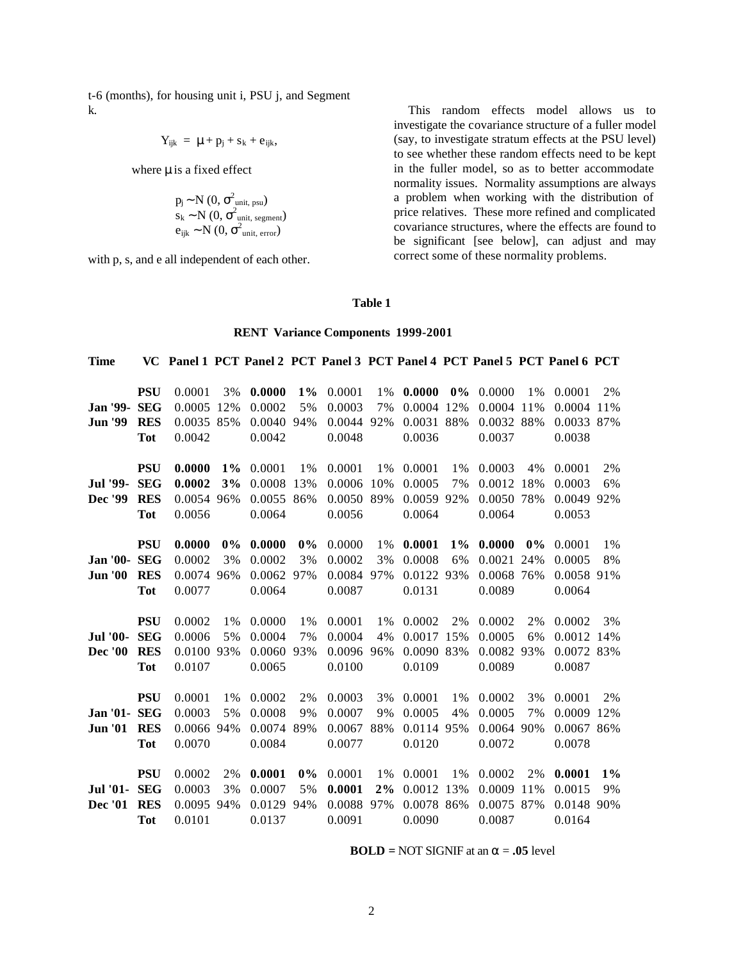t-6 (months), for housing unit i, PSU j, and Segment k.

$$
Y_{ijk} = \mu + p_j + s_k + e_{ijk},
$$

where  $\mu$  is a fixed effect

$$
p_j \sim N(0, \sigma^2_{unit, \text{psu}})
$$
  
s<sub>k</sub> ~ N(0,  $\sigma^2_{unit, \text{ segment}}$ )  

$$
e_{ijk} \sim N(0, \sigma^2_{unit, \text{ error}})
$$

with p, s, and e all independent of each other.

 This random effects model allows us to investigate the covariance structure of a fuller model (say, to investigate stratum effects at the PSU level) to see whether these random effects need to be kept in the fuller model, so as to better accommodate normality issues. Normality assumptions are always a problem when working with the distribution of price relatives. These more refined and complicated covariance structures, where the effects are found to be significant [see below], can adjust and may correct some of these normality problems.

# **Table 1**

#### **RENT Variance Components 1999-2001**

| <b>Time</b>         |            | VC Panel 1 PCT Panel 2 PCT Panel 3 PCT Panel 4 PCT Panel 5 PCT Panel 6 PCT |       |            |       |            |       |             |       |            |       |             |       |
|---------------------|------------|----------------------------------------------------------------------------|-------|------------|-------|------------|-------|-------------|-------|------------|-------|-------------|-------|
|                     |            |                                                                            |       |            |       |            |       |             |       |            |       |             |       |
|                     | <b>PSU</b> | 0.0001                                                                     | 3%    | 0.0000     | $1\%$ | 0.0001     | 1%    | 0.0000      | $0\%$ | 0.0000     | 1%    | 0.0001      | 2%    |
| <b>Jan '99- SEG</b> |            | 0.0005 12%                                                                 |       | 0.0002     | 5%    | 0.0003     | 7%    | 0.0004 12\% |       | 0.0004 11% |       | 0.0004 11\% |       |
| <b>Jun '99</b>      | <b>RES</b> | 0.0035 85%                                                                 |       | 0.0040 94% |       | 0.0044 92% |       | 0.0031 88%  |       | 0.0032 88% |       | 0.0033 87%  |       |
|                     | <b>Tot</b> | 0.0042                                                                     |       | 0.0042     |       | 0.0048     |       | 0.0036      |       | 0.0037     |       | 0.0038      |       |
|                     |            |                                                                            |       |            |       |            |       |             |       |            |       |             |       |
|                     | <b>PSU</b> | 0.0000                                                                     | $1\%$ | 0.0001     | $1\%$ | 0.0001     | 1%    | 0.0001      | 1%    | 0.0003     | 4%    | 0.0001      | 2%    |
| <b>Jul</b> '99-     | <b>SEG</b> | 0.0002                                                                     | 3%    | 0.0008     | 13%   | 0.0006     | 10%   | 0.0005      | 7%    | 0.0012 18% |       | 0.0003      | 6%    |
| Dec '99             | <b>RES</b> | 0.0054 96%                                                                 |       | 0.0055 86% |       | 0.0050 89% |       | 0.0059 92%  |       | 0.0050 78% |       | 0.0049 92%  |       |
|                     | <b>Tot</b> | 0.0056                                                                     |       | 0.0064     |       | 0.0056     |       | 0.0064      |       | 0.0064     |       | 0.0053      |       |
|                     | <b>PSU</b> | 0.0000                                                                     | $0\%$ | 0.0000     | $0\%$ | 0.0000     | 1%    | 0.0001      | $1\%$ | 0.0000     | $0\%$ | 0.0001      | 1%    |
| <b>Jan '00- SEG</b> |            | 0.0002                                                                     | 3%    | 0.0002     | 3%    | 0.0002     | 3%    | 0.0008      | 6%    | 0.0021 24% |       | 0.0005      | 8%    |
| <b>Jun '00</b>      | <b>RES</b> | 0.0074 96%                                                                 |       | 0.0062 97% |       | 0.0084 97% |       | 0.0122 93%  |       | 0.0068 76% |       | 0.0058 91%  |       |
|                     | <b>Tot</b> | 0.0077                                                                     |       | 0.0064     |       | 0.0087     |       | 0.0131      |       | 0.0089     |       | 0.0064      |       |
|                     |            |                                                                            |       |            |       |            |       |             |       |            |       |             |       |
|                     | <b>PSU</b> | 0.0002                                                                     | $1\%$ | 0.0000     | $1\%$ | 0.0001     | 1%    | 0.0002      | 2%    | 0.0002     | 2%    | 0.0002      | 3%    |
| <b>Jul '00-</b>     | <b>SEG</b> | 0.0006                                                                     | 5%    | 0.0004     | 7%    | 0.0004     | 4%    | 0.0017 15%  |       | 0.0005     | 6%    | 0.0012 14%  |       |
| <b>Dec</b> '00      | <b>RES</b> | 0.0100 93%                                                                 |       | 0.0060     | 93%   | 0.0096 96% |       | 0.0090 83%  |       | 0.0082 93% |       | 0.0072 83%  |       |
|                     | <b>Tot</b> | 0.0107                                                                     |       | 0.0065     |       | 0.0100     |       | 0.0109      |       | 0.0089     |       | 0.0087      |       |
|                     |            |                                                                            |       |            |       |            |       |             |       |            |       |             |       |
|                     | <b>PSU</b> | 0.0001                                                                     | 1%    | 0.0002     | 2%    | 0.0003     | 3%    | 0.0001      | $1\%$ | 0.0002     | 3%    | 0.0001      | 2%    |
| Jan '01- SEG        |            | 0.0003                                                                     | 5%    | 0.0008     | 9%    | 0.0007     | 9%    | 0.0005      | 4%    | 0.0005     | 7%    | 0.0009 12%  |       |
| Jun '01 RES         |            | 0.0066 94%                                                                 |       | 0.0074 89% |       | 0.0067 88% |       | 0.0114 95%  |       | 0.0064 90% |       | 0.0067 86%  |       |
|                     | <b>Tot</b> | 0.0070                                                                     |       | 0.0084     |       | 0.0077     |       | 0.0120      |       | 0.0072     |       | 0.0078      |       |
|                     | <b>PSU</b> | 0.0002                                                                     | 2%    | 0.0001     | $0\%$ | 0.0001     | 1%    | 0.0001      | $1\%$ | 0.0002     | 2%    | 0.0001      | $1\%$ |
| <b>Jul</b> '01-     | <b>SEG</b> | 0.0003                                                                     | 3%    | 0.0007     | 5%    | 0.0001     | $2\%$ | 0.0012 13%  |       | 0.0009     | 11%   | 0.0015      | 9%    |
| Dec '01             | <b>RES</b> | 0.0095 94%                                                                 |       | 0.0129     | 94%   | 0.0088 97% |       | 0.0078 86%  |       | 0.0075 87% |       | 0.0148 90%  |       |
|                     | <b>Tot</b> | 0.0101                                                                     |       | 0.0137     |       | 0.0091     |       | 0.0090      |       | 0.0087     |       | 0.0164      |       |
|                     |            |                                                                            |       |            |       |            |       |             |       |            |       |             |       |

**BOLD** = NOT SIGNIF at an  $\alpha$  = **.05** level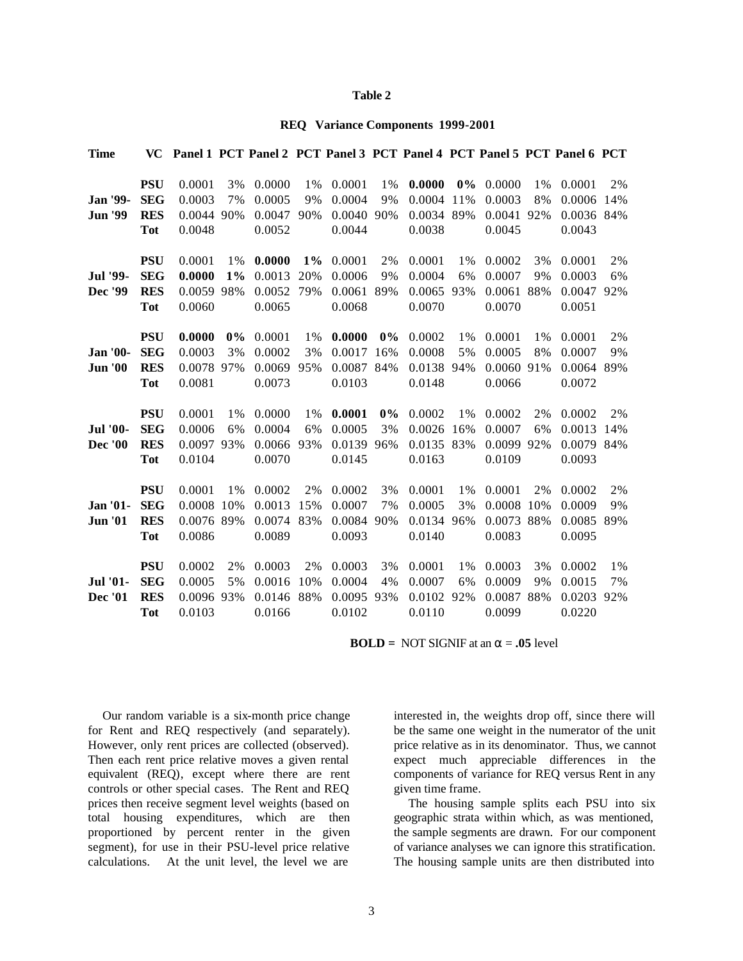#### **Table 2**

#### **REQ Variance Components 1999-2001**

| <b>Time</b>     | <b>VC</b>  | Panel 1 PCT Panel 2 PCT Panel 3 PCT Panel 4 PCT Panel 5 PCT Panel 6 PCT |       |            |       |            |       |            |       |            |       |            |     |
|-----------------|------------|-------------------------------------------------------------------------|-------|------------|-------|------------|-------|------------|-------|------------|-------|------------|-----|
|                 |            |                                                                         |       |            |       |            |       |            |       |            |       |            |     |
|                 | <b>PSU</b> | 0.0001                                                                  | 3%    | 0.0000     | 1%    | 0.0001     | 1%    | 0.0000     | $0\%$ | 0.0000     | 1%    | 0.0001     | 2%  |
| Jan '99-        | <b>SEG</b> | 0.0003                                                                  | 7%    | 0.0005     | 9%    | 0.0004     | 9%    | 0.0004     | 11%   | 0.0003     | 8%    | 0.0006     | 14% |
| <b>Jun '99</b>  | <b>RES</b> | 0.0044                                                                  | 90%   | 0.0047     | 90%   | 0.0040     | 90%   | 0.0034     | 89%   | 0.0041     | 92%   | 0.0036 84% |     |
|                 | <b>Tot</b> | 0.0048                                                                  |       | 0.0052     |       | 0.0044     |       | 0.0038     |       | 0.0045     |       | 0.0043     |     |
|                 | <b>PSU</b> | 0.0001                                                                  | 1%    | 0.0000     | $1\%$ | 0.0001     | 2%    | 0.0001     | $1\%$ | 0.0002     | 3%    | 0.0001     | 2%  |
| Jul '99-        | <b>SEG</b> | 0.0000                                                                  | $1\%$ | 0.0013     | 20%   | 0.0006     | 9%    | 0.0004     | 6%    | 0.0007     | 9%    | 0.0003     | 6%  |
| Dec '99         | <b>RES</b> | 0.0059 98%                                                              |       | 0.0052     | 79%   | 0.0061     | 89%   | 0.0065     | 93%   | 0.0061     | 88%   | 0.0047     | 92% |
|                 | <b>Tot</b> | 0.0060                                                                  |       | 0.0065     |       | 0.0068     |       | 0.0070     |       | 0.0070     |       | 0.0051     |     |
|                 |            |                                                                         |       |            |       |            |       |            |       |            |       |            |     |
|                 | <b>PSU</b> | 0.0000                                                                  | $0\%$ | 0.0001     | 1%    | 0.0000     | $0\%$ | 0.0002     | $1\%$ | 0.0001     | $1\%$ | 0.0001     | 2%  |
| <b>Jan '00-</b> | <b>SEG</b> | 0.0003                                                                  | 3%    | 0.0002     | 3%    | 0.0017     | 16%   | 0.0008     | 5%    | 0.0005     | 8%    | 0.0007     | 9%  |
| <b>Jun '00</b>  | <b>RES</b> | 0.0078 97%                                                              |       | 0.0069     | 95%   | 0.0087 84% |       | 0.0138 94% |       | 0.0060     | 91%   | 0.0064     | 89% |
|                 | <b>Tot</b> | 0.0081                                                                  |       | 0.0073     |       | 0.0103     |       | 0.0148     |       | 0.0066     |       | 0.0072     |     |
|                 | <b>PSU</b> | 0.0001                                                                  | 1%    | 0.0000     | 1%    | 0.0001     | $0\%$ | 0.0002     | 1%    | 0.0002     | 2%    | 0.0002     | 2%  |
| <b>Jul '00-</b> | <b>SEG</b> | 0.0006                                                                  | 6%    | 0.0004     | 6%    | 0.0005     | 3%    | 0.0026     | 16%   | 0.0007     | 6%    | 0.0013     | 14% |
| <b>Dec</b> '00  | <b>RES</b> | 0.0097 93%                                                              |       | 0.0066     | 93%   | 0.0139 96% |       | 0.0135 83% |       | 0.0099     | 92%   | 0.0079     | 84% |
|                 | <b>Tot</b> | 0.0104                                                                  |       | 0.0070     |       | 0.0145     |       | 0.0163     |       | 0.0109     |       | 0.0093     |     |
|                 |            |                                                                         |       |            |       |            |       |            |       |            |       |            |     |
|                 | <b>PSU</b> | 0.0001                                                                  | 1%    | 0.0002     | 2%    | 0.0002     | 3%    | 0.0001     | $1\%$ | 0.0001     | 2%    | 0.0002     | 2%  |
| Jan '01-        | <b>SEG</b> | 0.0008 10%                                                              |       | 0.0013     | 15%   | 0.0007     | 7%    | 0.0005     | 3%    | 0.0008     | 10%   | 0.0009     | 9%  |
| <b>Jun '01</b>  | <b>RES</b> | 0.0076 89%                                                              |       | 0.0074     | 83%   | 0.0084 90% |       | 0.0134     | 96%   | 0.0073 88% |       | 0.0085     | 89% |
|                 | <b>Tot</b> | 0.0086                                                                  |       | 0.0089     |       | 0.0093     |       | 0.0140     |       | 0.0083     |       | 0.0095     |     |
|                 | <b>PSU</b> | 0.0002                                                                  | 2%    | 0.0003     | 2%    | 0.0003     | 3%    | 0.0001     | $1\%$ | 0.0003     | 3%    | 0.0002     | 1%  |
| Jul '01-        | <b>SEG</b> | 0.0005                                                                  | 5%    | 0.0016     | 10%   | 0.0004     | 4%    | 0.0007     | 6%    | 0.0009     | 9%    | 0.0015     | 7%  |
| Dec '01         | <b>RES</b> | 0.0096 93%                                                              |       | 0.0146 88% |       | 0.0095 93% |       | 0.0102     | 92%   | 0.0087     | 88%   | 0.0203     | 92% |
|                 | <b>Tot</b> | 0.0103                                                                  |       | 0.0166     |       | 0.0102     |       | 0.0110     |       | 0.0099     |       | 0.0220     |     |
|                 |            |                                                                         |       |            |       |            |       |            |       |            |       |            |     |

**BOLD** = NOT SIGNIF at an  $\alpha$  = **.05** level

Our random variable is a six-month price change for Rent and REQ respectively (and separately). However, only rent prices are collected (observed). Then each rent price relative moves a given rental equivalent (REQ), except where there are rent controls or other special cases. The Rent and REQ prices then receive segment level weights (based on total housing expenditures, which are then proportioned by percent renter in the given segment), for use in their PSU-level price relative calculations. At the unit level, the level we are

3

interested in, the weights drop off, since there will be the same one weight in the numerator of the unit price relative as in its denominator. Thus, we cannot expect much appreciable differences in the components of variance for REQ versus Rent in any given time frame.

 The housing sample splits each PSU into six geographic strata within which, as was mentioned, the sample segments are drawn. For our component of variance analyses we can ignore this stratification. The housing sample units are then distributed into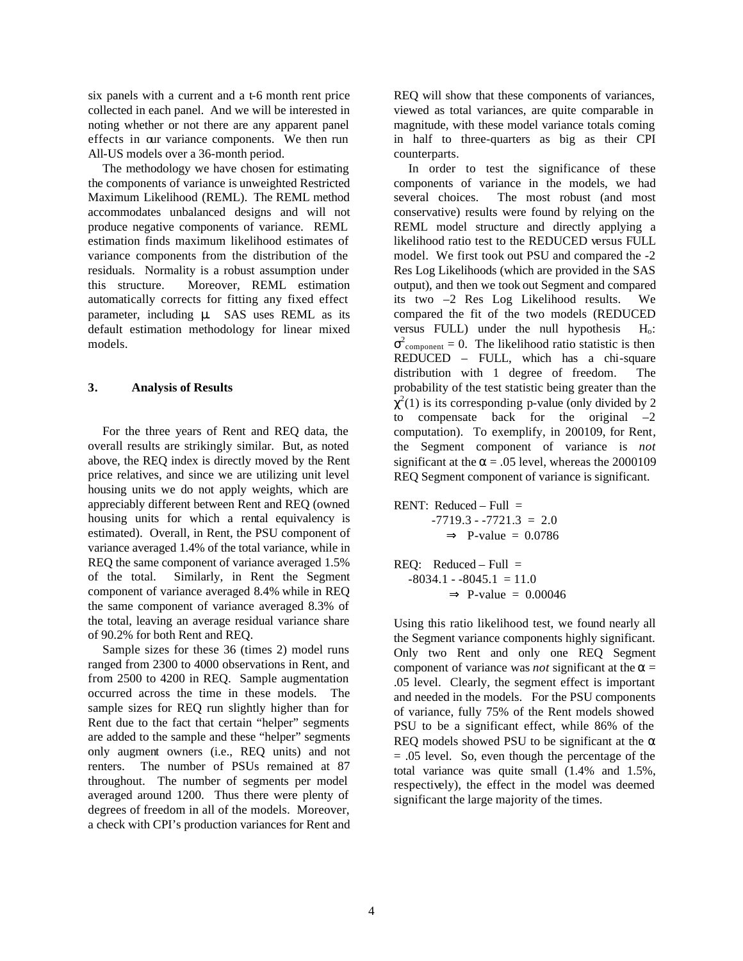six panels with a current and a t-6 month rent price collected in each panel. And we will be interested in noting whether or not there are any apparent panel effects in our variance components. We then run All-US models over a 36-month period.

The methodology we have chosen for estimating the components of variance is unweighted Restricted Maximum Likelihood (REML). The REML method accommodates unbalanced designs and will not produce negative components of variance. REML estimation finds maximum likelihood estimates of variance components from the distribution of the residuals. Normality is a robust assumption under this structure. Moreover, REML estimation automatically corrects for fitting any fixed effect parameter, including μ. SAS uses REML as its default estimation methodology for linear mixed models.

## **3. Analysis of Results**

 For the three years of Rent and REQ data, the overall results are strikingly similar. But, as noted above, the REQ index is directly moved by the Rent price relatives, and since we are utilizing unit level housing units we do not apply weights, which are appreciably different between Rent and REQ (owned housing units for which a rental equivalency is estimated). Overall, in Rent, the PSU component of variance averaged 1.4% of the total variance, while in REQ the same component of variance averaged 1.5% of the total. Similarly, in Rent the Segment component of variance averaged 8.4% while in REQ the same component of variance averaged 8.3% of the total, leaving an average residual variance share of 90.2% for both Rent and REQ.

 Sample sizes for these 36 (times 2) model runs ranged from 2300 to 4000 observations in Rent, and from 2500 to 4200 in REQ. Sample augmentation occurred across the time in these models. The sample sizes for REQ run slightly higher than for Rent due to the fact that certain "helper" segments are added to the sample and these "helper" segments only augment owners (i.e., REQ units) and not renters. The number of PSUs remained at 87 throughout. The number of segments per model averaged around 1200. Thus there were plenty of degrees of freedom in all of the models. Moreover, a check with CPI's production variances for Rent and REQ will show that these components of variances, viewed as total variances, are quite comparable in magnitude, with these model variance totals coming in half to three-quarters as big as their CPI counterparts.

 In order to test the significance of these components of variance in the models, we had several choices. The most robust (and most conservative) results were found by relying on the REML model structure and directly applying a likelihood ratio test to the REDUCED versus FULL model. We first took out PSU and compared the -2 Res Log Likelihoods (which are provided in the SAS output), and then we took out Segment and compared its two –2 Res Log Likelihood results. We compared the fit of the two models (REDUCED versus FULL) under the null hypothesis  $H_0$ :  $\sigma^2$ <sub>component</sub> = 0. The likelihood ratio statistic is then REDUCED – FULL, which has a chi-square distribution with 1 degree of freedom. The probability of the test statistic being greater than the  $\chi^2(1)$  is its corresponding p-value (only divided by 2 to compensate back for the original  $-2$ computation). To exemplify, in 200109, for Rent, the Segment component of variance is *not*  significant at the  $\alpha$  = .05 level, whereas the 2000109 REQ Segment component of variance is significant.

RENT: Reduced – Full =  $-7719.3 - 7721.3 = 2.0$  $\Rightarrow$  P-value = 0.0786

 $REQ:$  Reduced – Full =  $-8034.1 - 8045.1 = 11.0$  $\Rightarrow$  P-value = 0.00046

Using this ratio likelihood test, we found nearly all the Segment variance components highly significant. Only two Rent and only one REQ Segment component of variance was *not* significant at the  $\alpha$  = .05 level. Clearly, the segment effect is important and needed in the models. For the PSU components of variance, fully 75% of the Rent models showed PSU to be a significant effect, while 86% of the REQ models showed PSU to be significant at the  $\alpha$ = .05 level. So, even though the percentage of the total variance was quite small (1.4% and 1.5%, respectively), the effect in the model was deemed significant the large majority of the times.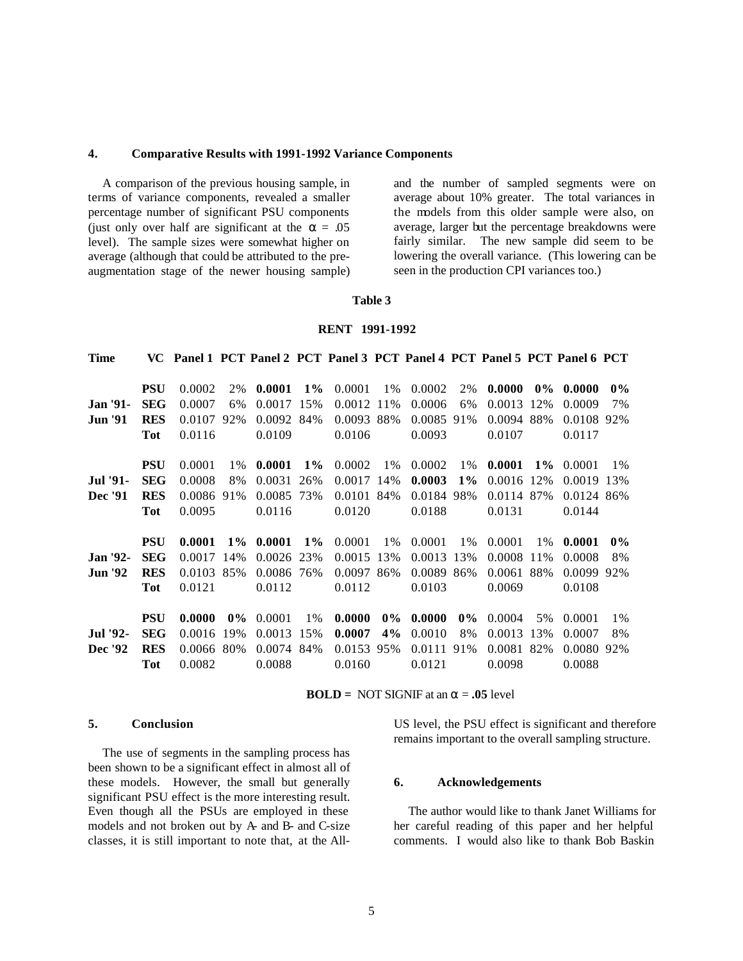#### **4. Comparative Results with 1991-1992 Variance Components**

 A comparison of the previous housing sample, in terms of variance components, revealed a smaller percentage number of significant PSU components (just only over half are significant at the  $\alpha = .05$ ) level). The sample sizes were somewhat higher on average (although that could be attributed to the preaugmentation stage of the newer housing sample) and the number of sampled segments were on average about 10% greater. The total variances in the models from this older sample were also, on average, larger but the percentage breakdowns were fairly similar. The new sample did seem to be lowering the overall variance. (This lowering can be seen in the production CPI variances too.)

#### **Table 3**

### **RENT 1991-1992**

| <b>Time</b>     |            | VC Panel 1 PCT Panel 2 PCT Panel 3 PCT Panel 4 PCT Panel 5 PCT Panel 6 PCT |       |            |       |            |       |            |       |            |       |            |       |
|-----------------|------------|----------------------------------------------------------------------------|-------|------------|-------|------------|-------|------------|-------|------------|-------|------------|-------|
|                 |            |                                                                            |       |            |       |            |       |            |       |            |       |            |       |
|                 | <b>PSU</b> | 0.0002                                                                     | 2%    | 0.0001     | $1\%$ | 0.0001     | $1\%$ | 0.0002     | 2%    | 0.0000     | $0\%$ | 0.0000     | $0\%$ |
| <b>Jan '91-</b> | <b>SEG</b> | 0.0007                                                                     | 6%    | 0.0017     | 15%   | 0.0012     | 11%   | 0.0006     | 6%    | 0.0013     | 12%   | 0.0009     | 7%    |
| <b>Jun '91</b>  | <b>RES</b> | 0.0107                                                                     | 92%   | 0.0092 84% |       | 0.0093 88% |       | 0.0085 91% |       | 0.0094 88% |       | 0.0108 92% |       |
|                 | <b>Tot</b> | 0.0116                                                                     |       | 0.0109     |       | 0.0106     |       | 0.0093     |       | 0.0107     |       | 0.0117     |       |
|                 | <b>PSU</b> | 0.0001                                                                     | $1\%$ | 0.0001     | $1\%$ | 0.0002     | $1\%$ | 0.0002     | 1%    | 0.0001     | $1\%$ | 0.0001     | $1\%$ |
| <b>Jul</b> '91- | <b>SEG</b> | 0.0008                                                                     | 8%    | 0.0031     | 26%   | 0.0017 14% |       | 0.0003     | $1\%$ | 0.0016 12% |       | 0.0019     | 13%   |
| Dec '91         | <b>RES</b> | 0.0086                                                                     | 91%   | 0.0085 73% |       | 0.0101 84% |       | 0.0184 98% |       | 0.0114 87% |       | 0.0124 86% |       |
|                 | Tot        | 0.0095                                                                     |       | 0.0116     |       | 0.0120     |       | 0.0188     |       | 0.0131     |       | 0.0144     |       |
|                 |            |                                                                            |       |            |       |            |       |            |       |            |       |            |       |
|                 | <b>PSU</b> | 0.0001                                                                     | $1\%$ | 0.0001     | $1\%$ | 0.0001     | 1%    | 0.0001     | $1\%$ | 0.0001     | $1\%$ | 0.0001     | $0\%$ |
| <b>Jan '92-</b> | <b>SEG</b> | 0.0017                                                                     | 14%   | 0.0026 23% |       | 0.0015 13% |       | 0.0013     | 13%   | 0.0008     | 11%   | 0.0008     | 8%    |
| <b>Jun '92</b>  | <b>RES</b> | 0.0103 85%                                                                 |       | 0.0086 76% |       | 0.0097 86% |       | 0.0089 86% |       | 0.0061 88% |       | 0.0099 92% |       |
|                 | Tot        | 0.0121                                                                     |       | 0.0112     |       | 0.0112     |       | 0.0103     |       | 0.0069     |       | 0.0108     |       |
|                 | <b>PSU</b> | 0.0000                                                                     | $0\%$ | 0.0001     | 1%    | 0.0000     | $0\%$ | 0.0000     | $0\%$ | 0.0004     | 5%    | 0.0001     | $1\%$ |
| <b>Jul</b> '92- | <b>SEG</b> | 0.0016                                                                     | 19%   | 0.0013     | 15%   | 0.0007     | 4%    | 0.0010     | 8%    | 0.0013     | 13%   | 0.0007     | 8%    |
| Dec '92         | <b>RES</b> | 0.0066                                                                     | 80%   | 0.0074 84% |       | 0.0153 95% |       | 0.0111 91% |       | 0.0081 82% |       | 0.0080 92% |       |
|                 | <b>Tot</b> | 0.0082                                                                     |       | 0.0088     |       | 0.0160     |       | 0.0121     |       | 0.0098     |       | 0.0088     |       |

**BOLD** = NOT SIGNIF at an  $\alpha = .05$  level

## **5. Conclusion**

 The use of segments in the sampling process has been shown to be a significant effect in almost all of these models. However, the small but generally significant PSU effect is the more interesting result. Even though all the PSUs are employed in these models and not broken out by A- and B- and C-size classes, it is still important to note that, at the AllUS level, the PSU effect is significant and therefore remains important to the overall sampling structure.

## **6. Acknowledgements**

 The author would like to thank Janet Williams for her careful reading of this paper and her helpful comments. I would also like to thank Bob Baskin